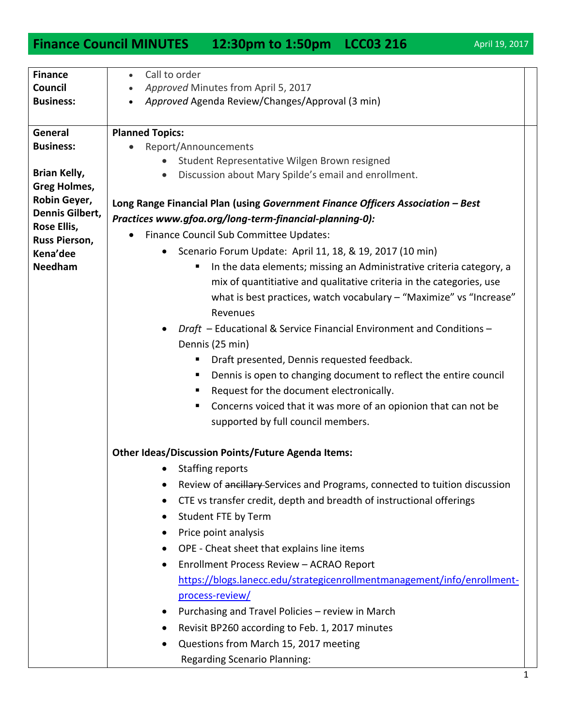## **Finance Council MINUTES** 12:30pm to 1:50pm LCC03 216 April 19, 2017

| <b>Finance</b>                  | Call to order                                                                   |  |
|---------------------------------|---------------------------------------------------------------------------------|--|
| Council                         | Approved Minutes from April 5, 2017                                             |  |
| <b>Business:</b>                | Approved Agenda Review/Changes/Approval (3 min)                                 |  |
|                                 |                                                                                 |  |
| General                         | <b>Planned Topics:</b>                                                          |  |
| <b>Business:</b>                | Report/Announcements                                                            |  |
|                                 | Student Representative Wilgen Brown resigned                                    |  |
| Brian Kelly,                    | Discussion about Mary Spilde's email and enrollment.<br>$\bullet$               |  |
| <b>Greg Holmes,</b>             |                                                                                 |  |
| Robin Geyer,<br>Dennis Gilbert, | Long Range Financial Plan (using Government Finance Officers Association - Best |  |
| Rose Ellis,                     | Practices www.gfoa.org/long-term-financial-planning-0):                         |  |
| Russ Pierson,                   | Finance Council Sub Committee Updates:<br>$\bullet$                             |  |
| Kena'dee                        | Scenario Forum Update: April 11, 18, & 19, 2017 (10 min)<br>$\bullet$           |  |
| <b>Needham</b>                  | In the data elements; missing an Administrative criteria category, a<br>п       |  |
|                                 | mix of quantitiative and qualitative criteria in the categories, use            |  |
|                                 | what is best practices, watch vocabulary - "Maximize" vs "Increase"             |  |
|                                 | Revenues                                                                        |  |
|                                 | Draft - Educational & Service Financial Environment and Conditions -            |  |
|                                 | Dennis (25 min)                                                                 |  |
|                                 | Draft presented, Dennis requested feedback.                                     |  |
|                                 | Dennis is open to changing document to reflect the entire council<br>ш          |  |
|                                 | Request for the document electronically.<br>ш                                   |  |
|                                 | Concerns voiced that it was more of an opionion that can not be                 |  |
|                                 | supported by full council members.                                              |  |
|                                 |                                                                                 |  |
|                                 | <b>Other Ideas/Discussion Points/Future Agenda Items:</b>                       |  |
|                                 | <b>Staffing reports</b>                                                         |  |
|                                 | Review of ancillary-Services and Programs, connected to tuition discussion      |  |
|                                 | CTE vs transfer credit, depth and breadth of instructional offerings            |  |
|                                 |                                                                                 |  |
|                                 | Student FTE by Term                                                             |  |
|                                 | Price point analysis<br>٠                                                       |  |
|                                 | OPE - Cheat sheet that explains line items                                      |  |
|                                 | Enrollment Process Review - ACRAO Report                                        |  |
|                                 | https://blogs.lanecc.edu/strategicenrollmentmanagement/info/enrollment-         |  |
|                                 | process-review/                                                                 |  |
|                                 | Purchasing and Travel Policies - review in March                                |  |
|                                 | Revisit BP260 according to Feb. 1, 2017 minutes                                 |  |
|                                 | Questions from March 15, 2017 meeting                                           |  |
|                                 | <b>Regarding Scenario Planning:</b>                                             |  |